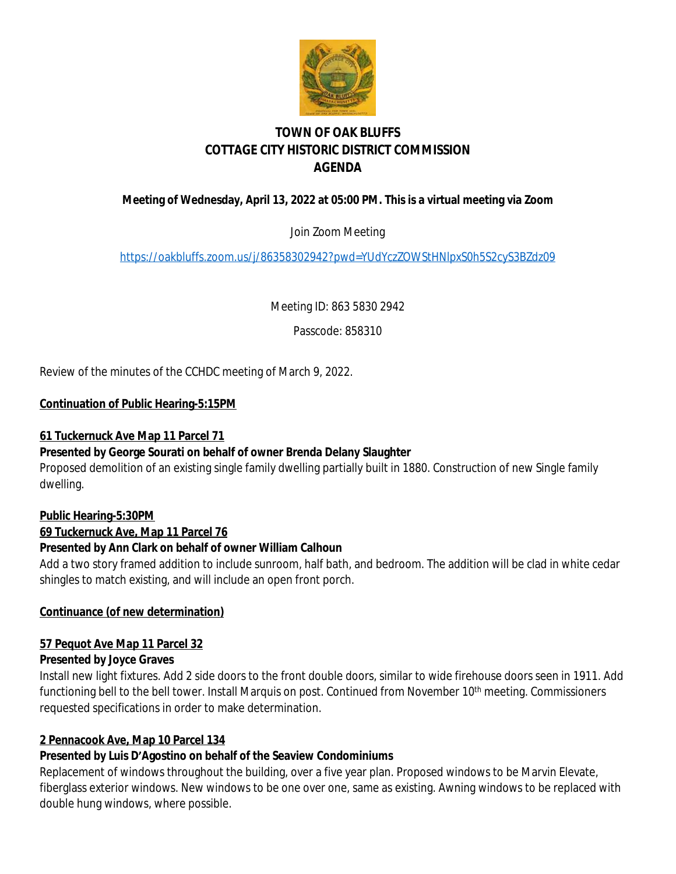

# **TOWN OF OAK BLUFFS COTTAGE CITY HISTORIC DISTRICT COMMISSION AGENDA**

# **Meeting of Wednesday, April 13, 2022 at 05:00 PM. This is a virtual meeting via Zoom**

Join Zoom Meeting

<https://oakbluffs.zoom.us/j/86358302942?pwd=YUdYczZOWStHNlpxS0h5S2cyS3BZdz09>

Meeting ID: 863 5830 2942

Passcode: 858310

Review of the minutes of the CCHDC meeting of March 9, 2022.

### **Continuation of Public Hearing-5:15PM**

### **61 Tuckernuck Ave Map 11 Parcel 71**

# **Presented by George Sourati on behalf of owner Brenda Delany Slaughter**

Proposed demolition of an existing single family dwelling partially built in 1880. Construction of new Single family dwelling.

#### **Public Hearing-5:30PM**

**69 Tuckernuck Ave, Map 11 Parcel 76**

# **Presented by Ann Clark on behalf of owner William Calhoun**

Add a two story framed addition to include sunroom, half bath, and bedroom. The addition will be clad in white cedar shingles to match existing, and will include an open front porch.

#### **Continuance (of new determination)**

# **57 Pequot Ave Map 11 Parcel 32**

#### **Presented by Joyce Graves**

Install new light fixtures. Add 2 side doors to the front double doors, similar to wide firehouse doors seen in 1911. Add functioning bell to the bell tower. Install Marquis on post. Continued from November 10<sup>th</sup> meeting. Commissioners requested specifications in order to make determination.

# **2 Pennacook Ave, Map 10 Parcel 134**

# **Presented by Luis D'Agostino on behalf of the Seaview Condominiums**

Replacement of windows throughout the building, over a five year plan. Proposed windows to be Marvin Elevate, fiberglass exterior windows. New windows to be one over one, same as existing. Awning windows to be replaced with double hung windows, where possible.